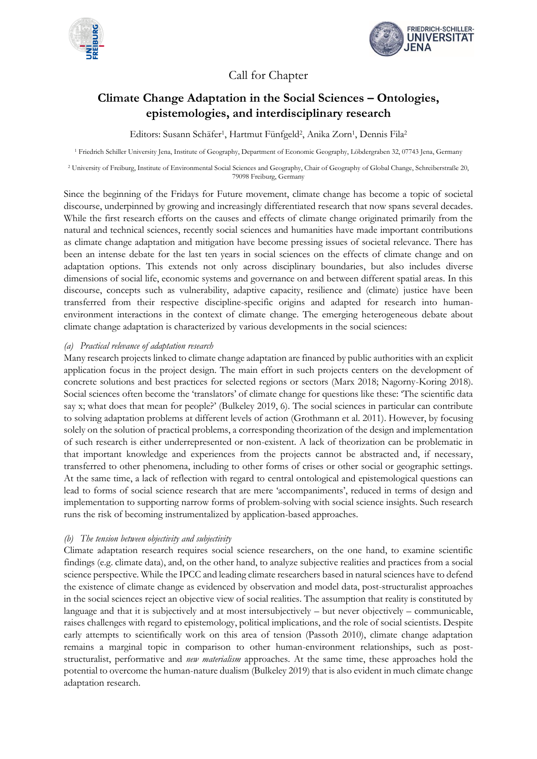



Call for Chapter

# **Climate Change Adaptation in the Social Sciences – Ontologies, epistemologies, and interdisciplinary research**

Editors: Susann Schäfer<sup>1</sup>, Hartmut Fünfgeld<sup>2</sup>, Anika Zorn<sup>1</sup>, Dennis Fila<sup>2</sup>

<sup>1</sup> Friedrich Schiller University Jena, Institute of Geography, Department of Economic Geography, Löbdergraben 32, 07743 Jena, Germany

<sup>2</sup> University of Freiburg, Institute of Environmental Social Sciences and Geography, Chair of Geography of Global Change, Schreiberstraße 20, 79098 Freiburg, Germany

Since the beginning of the Fridays for Future movement, climate change has become a topic of societal discourse, underpinned by growing and increasingly differentiated research that now spans several decades. While the first research efforts on the causes and effects of climate change originated primarily from the natural and technical sciences, recently social sciences and humanities have made important contributions as climate change adaptation and mitigation have become pressing issues of societal relevance. There has been an intense debate for the last ten years in social sciences on the effects of climate change and on adaptation options. This extends not only across disciplinary boundaries, but also includes diverse dimensions of social life, economic systems and governance on and between different spatial areas. In this discourse, concepts such as vulnerability, adaptive capacity, resilience and (climate) justice have been transferred from their respective discipline-specific origins and adapted for research into humanenvironment interactions in the context of climate change. The emerging heterogeneous debate about climate change adaptation is characterized by various developments in the social sciences:

### *(a) Practical relevance of adaptation research*

Many research projects linked to climate change adaptation are financed by public authorities with an explicit application focus in the project design. The main effort in such projects centers on the development of concrete solutions and best practices for selected regions or sectors (Marx 2018; Nagorny-Koring 2018). Social sciences often become the 'translators' of climate change for questions like these: 'The scientific data say x; what does that mean for people?' (Bulkeley 2019, 6). The social sciences in particular can contribute to solving adaptation problems at different levels of action (Grothmann et al. 2011). However, by focusing solely on the solution of practical problems, a corresponding theorization of the design and implementation of such research is either underrepresented or non-existent. A lack of theorization can be problematic in that important knowledge and experiences from the projects cannot be abstracted and, if necessary, transferred to other phenomena, including to other forms of crises or other social or geographic settings. At the same time, a lack of reflection with regard to central ontological and epistemological questions can lead to forms of social science research that are mere 'accompaniments', reduced in terms of design and implementation to supporting narrow forms of problem-solving with social science insights. Such research runs the risk of becoming instrumentalized by application-based approaches.

## *(b) The tension between objectivity and subjectivity*

Climate adaptation research requires social science researchers, on the one hand, to examine scientific findings (e.g. climate data), and, on the other hand, to analyze subjective realities and practices from a social science perspective. While the IPCC and leading climate researchers based in natural sciences have to defend the existence of climate change as evidenced by observation and model data, post-structuralist approaches in the social sciences reject an objective view of social realities. The assumption that reality is constituted by language and that it is subjectively and at most intersubjectively – but never objectively – communicable, raises challenges with regard to epistemology, political implications, and the role of social scientists. Despite early attempts to scientifically work on this area of tension (Passoth 2010), climate change adaptation remains a marginal topic in comparison to other human-environment relationships, such as poststructuralist, performative and *new materialism* approaches. At the same time, these approaches hold the potential to overcome the human-nature dualism (Bulkeley 2019) that is also evident in much climate change adaptation research.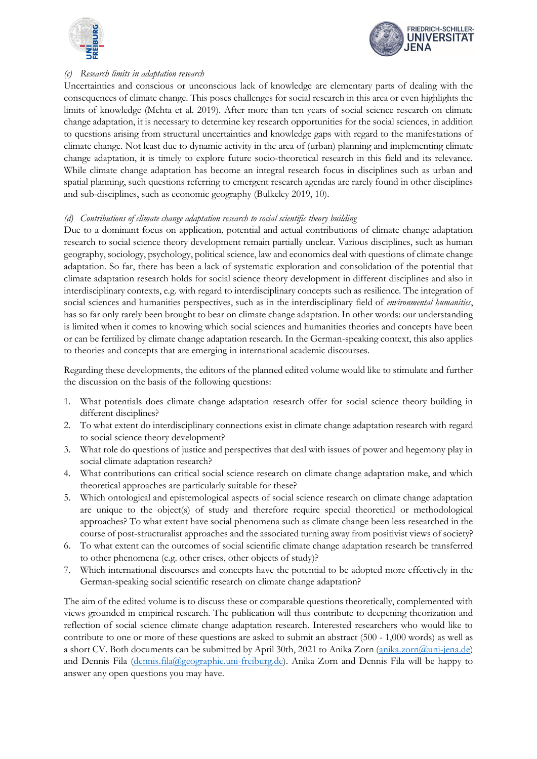



### *(c) Research limits in adaptation research*

Uncertainties and conscious or unconscious lack of knowledge are elementary parts of dealing with the consequences of climate change. This poses challenges for social research in this area or even highlights the limits of knowledge (Mehta et al. 2019). After more than ten years of social science research on climate change adaptation, it is necessary to determine key research opportunities for the social sciences, in addition to questions arising from structural uncertainties and knowledge gaps with regard to the manifestations of climate change. Not least due to dynamic activity in the area of (urban) planning and implementing climate change adaptation, it is timely to explore future socio-theoretical research in this field and its relevance. While climate change adaptation has become an integral research focus in disciplines such as urban and spatial planning, such questions referring to emergent research agendas are rarely found in other disciplines and sub-disciplines, such as economic geography (Bulkeley 2019, 10).

#### *(d) Contributions of climate change adaptation research to social scientific theory building*

Due to a dominant focus on application, potential and actual contributions of climate change adaptation research to social science theory development remain partially unclear. Various disciplines, such as human geography, sociology, psychology, political science, law and economics deal with questions of climate change adaptation. So far, there has been a lack of systematic exploration and consolidation of the potential that climate adaptation research holds for social science theory development in different disciplines and also in interdisciplinary contexts, e.g. with regard to interdisciplinary concepts such as resilience. The integration of social sciences and humanities perspectives, such as in the interdisciplinary field of *environmental humanities*, has so far only rarely been brought to bear on climate change adaptation. In other words: our understanding is limited when it comes to knowing which social sciences and humanities theories and concepts have been or can be fertilized by climate change adaptation research. In the German-speaking context, this also applies to theories and concepts that are emerging in international academic discourses.

Regarding these developments, the editors of the planned edited volume would like to stimulate and further the discussion on the basis of the following questions:

- 1. What potentials does climate change adaptation research offer for social science theory building in different disciplines?
- 2. To what extent do interdisciplinary connections exist in climate change adaptation research with regard to social science theory development?
- What role do questions of justice and perspectives that deal with issues of power and hegemony play in social climate adaptation research?
- 4. What contributions can critical social science research on climate change adaptation make, and which theoretical approaches are particularly suitable for these?
- 5. Which ontological and epistemological aspects of social science research on climate change adaptation are unique to the object(s) of study and therefore require special theoretical or methodological approaches? To what extent have social phenomena such as climate change been less researched in the course of post-structuralist approaches and the associated turning away from positivist views of society?
- 6. To what extent can the outcomes of social scientific climate change adaptation research be transferred to other phenomena (e.g. other crises, other objects of study)?
- 7. Which international discourses and concepts have the potential to be adopted more effectively in the German-speaking social scientific research on climate change adaptation?

The aim of the edited volume is to discuss these or comparable questions theoretically, complemented with views grounded in empirical research. The publication will thus contribute to deepening theorization and reflection of social science climate change adaptation research. Interested researchers who would like to contribute to one or more of these questions are asked to submit an abstract (500 - 1,000 words) as well as a short CV. Both documents can be submitted by April 30th, 2021 to Anika Zorn [\(anika.zorn@uni-jena.de\)](mailto:anika.zorn@uni-jena.de) and Dennis Fila [\(dennis.fila@geographie.uni-freiburg.de\)](mailto:dennis.fila@geographie.uni-freiburg.de). Anika Zorn and Dennis Fila will be happy to answer any open questions you may have.